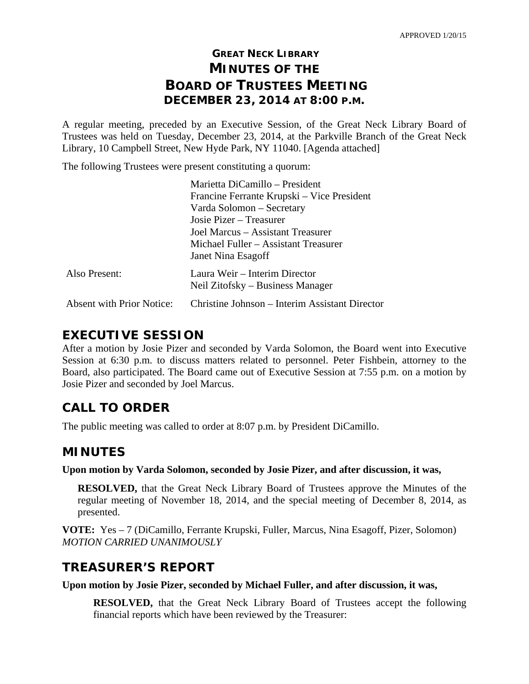# **GREAT NECK LIBRARY MINUTES OF THE BOARD OF TRUSTEES MEETING DECEMBER 23, 2014 AT 8:00 P.M.**

A regular meeting, preceded by an Executive Session, of the Great Neck Library Board of Trustees was held on Tuesday, December 23, 2014, at the Parkville Branch of the Great Neck Library, 10 Campbell Street, New Hyde Park, NY 11040. [Agenda attached]

The following Trustees were present constituting a quorum:

|                                  | Marietta DiCamillo – President                 |
|----------------------------------|------------------------------------------------|
|                                  | Francine Ferrante Krupski – Vice President     |
|                                  | Varda Solomon - Secretary                      |
|                                  | Josie Pizer – Treasurer                        |
|                                  | Joel Marcus – Assistant Treasurer              |
|                                  | Michael Fuller – Assistant Treasurer           |
|                                  | Janet Nina Esagoff                             |
| Also Present:                    | Laura Weir – Interim Director                  |
|                                  | Neil Zitofsky – Business Manager               |
| <b>Absent with Prior Notice:</b> | Christine Johnson – Interim Assistant Director |
|                                  |                                                |

### **EXECUTIVE SESSION**

After a motion by Josie Pizer and seconded by Varda Solomon, the Board went into Executive Session at 6:30 p.m. to discuss matters related to personnel. Peter Fishbein, attorney to the Board, also participated. The Board came out of Executive Session at 7:55 p.m. on a motion by Josie Pizer and seconded by Joel Marcus.

# **CALL TO ORDER**

The public meeting was called to order at 8:07 p.m. by President DiCamillo.

# **MINUTES**

**Upon motion by Varda Solomon, seconded by Josie Pizer, and after discussion, it was,** 

**RESOLVED,** that the Great Neck Library Board of Trustees approve the Minutes of the regular meeting of November 18, 2014, and the special meeting of December 8, 2014, as presented.

**VOTE:** Yes – 7 (DiCamillo, Ferrante Krupski, Fuller, Marcus, Nina Esagoff, Pizer, Solomon) *MOTION CARRIED UNANIMOUSLY* 

# **TREASURER'S REPORT**

**Upon motion by Josie Pizer, seconded by Michael Fuller, and after discussion, it was,** 

**RESOLVED,** that the Great Neck Library Board of Trustees accept the following financial reports which have been reviewed by the Treasurer: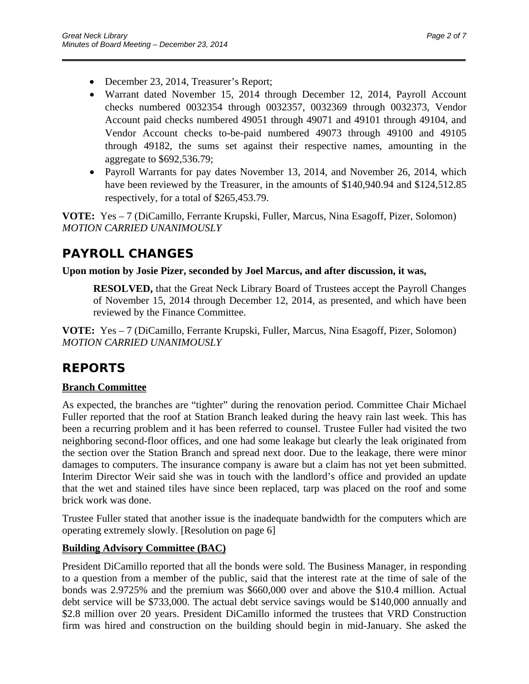- December 23, 2014, Treasurer's Report;
- Warrant dated November 15, 2014 through December 12, 2014, Payroll Account checks numbered 0032354 through 0032357, 0032369 through 0032373, Vendor Account paid checks numbered 49051 through 49071 and 49101 through 49104, and Vendor Account checks to-be-paid numbered 49073 through 49100 and 49105 through 49182, the sums set against their respective names, amounting in the aggregate to \$692,536.79;

\_\_\_\_\_\_\_\_\_\_\_\_\_\_\_\_\_\_\_\_\_\_\_\_\_\_\_\_\_\_\_\_\_\_\_\_\_\_\_\_\_\_\_\_\_\_\_\_\_\_\_\_\_\_\_\_\_\_\_\_\_\_\_\_\_\_\_\_\_\_

• Payroll Warrants for pay dates November 13, 2014, and November 26, 2014, which have been reviewed by the Treasurer, in the amounts of \$140,940.94 and \$124,512.85 respectively, for a total of \$265,453.79.

**VOTE:** Yes – 7 (DiCamillo, Ferrante Krupski, Fuller, Marcus, Nina Esagoff, Pizer, Solomon) *MOTION CARRIED UNANIMOUSLY* 

# **PAYROLL CHANGES**

**Upon motion by Josie Pizer, seconded by Joel Marcus, and after discussion, it was,** 

**RESOLVED,** that the Great Neck Library Board of Trustees accept the Payroll Changes of November 15, 2014 through December 12, 2014, as presented, and which have been reviewed by the Finance Committee.

**VOTE:** Yes – 7 (DiCamillo, Ferrante Krupski, Fuller, Marcus, Nina Esagoff, Pizer, Solomon) *MOTION CARRIED UNANIMOUSLY* 

# **REPORTS**

### **Branch Committee**

As expected, the branches are "tighter" during the renovation period. Committee Chair Michael Fuller reported that the roof at Station Branch leaked during the heavy rain last week. This has been a recurring problem and it has been referred to counsel. Trustee Fuller had visited the two neighboring second-floor offices, and one had some leakage but clearly the leak originated from the section over the Station Branch and spread next door. Due to the leakage, there were minor damages to computers. The insurance company is aware but a claim has not yet been submitted. Interim Director Weir said she was in touch with the landlord's office and provided an update that the wet and stained tiles have since been replaced, tarp was placed on the roof and some brick work was done.

Trustee Fuller stated that another issue is the inadequate bandwidth for the computers which are operating extremely slowly. [Resolution on page 6]

### **Building Advisory Committee (BAC)**

President DiCamillo reported that all the bonds were sold. The Business Manager, in responding to a question from a member of the public, said that the interest rate at the time of sale of the bonds was 2.9725% and the premium was \$660,000 over and above the \$10.4 million. Actual debt service will be \$733,000. The actual debt service savings would be \$140,000 annually and \$2.8 million over 20 years. President DiCamillo informed the trustees that VRD Construction firm was hired and construction on the building should begin in mid-January. She asked the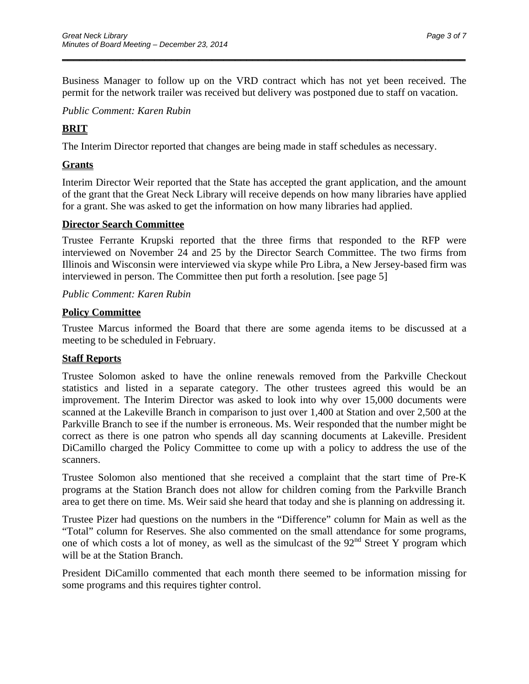Business Manager to follow up on the VRD contract which has not yet been received. The permit for the network trailer was received but delivery was postponed due to staff on vacation.

\_\_\_\_\_\_\_\_\_\_\_\_\_\_\_\_\_\_\_\_\_\_\_\_\_\_\_\_\_\_\_\_\_\_\_\_\_\_\_\_\_\_\_\_\_\_\_\_\_\_\_\_\_\_\_\_\_\_\_\_\_\_\_\_\_\_\_\_\_\_

*Public Comment: Karen Rubin*   $\overline{a}$ 

### **BRIT**

The Interim Director reported that changes are being made in staff schedules as necessary.

### **Grants**

Interim Director Weir reported that the State has accepted the grant application, and the amount of the grant that the Great Neck Library will receive depends on how many libraries have applied for a grant. She was asked to get the information on how many libraries had applied.

#### **Director Search Committee**

Trustee Ferrante Krupski reported that the three firms that responded to the RFP were interviewed on November 24 and 25 by the Director Search Committee. The two firms from Illinois and Wisconsin were interviewed via skype while Pro Libra, a New Jersey-based firm was interviewed in person. The Committee then put forth a resolution. [see page 5]

#### *Public Comment: Karen Rubin*

#### **Policy Committee**

Trustee Marcus informed the Board that there are some agenda items to be discussed at a meeting to be scheduled in February.

### **Staff Reports**

Trustee Solomon asked to have the online renewals removed from the Parkville Checkout statistics and listed in a separate category. The other trustees agreed this would be an improvement. The Interim Director was asked to look into why over 15,000 documents were scanned at the Lakeville Branch in comparison to just over 1,400 at Station and over 2,500 at the Parkville Branch to see if the number is erroneous. Ms. Weir responded that the number might be correct as there is one patron who spends all day scanning documents at Lakeville. President DiCamillo charged the Policy Committee to come up with a policy to address the use of the scanners.

Trustee Solomon also mentioned that she received a complaint that the start time of Pre-K programs at the Station Branch does not allow for children coming from the Parkville Branch area to get there on time. Ms. Weir said she heard that today and she is planning on addressing it.

Trustee Pizer had questions on the numbers in the "Difference" column for Main as well as the "Total" column for Reserves. She also commented on the small attendance for some programs, one of which costs a lot of money, as well as the simulcast of the  $92<sup>nd</sup>$  Street Y program which will be at the Station Branch.

President DiCamillo commented that each month there seemed to be information missing for some programs and this requires tighter control.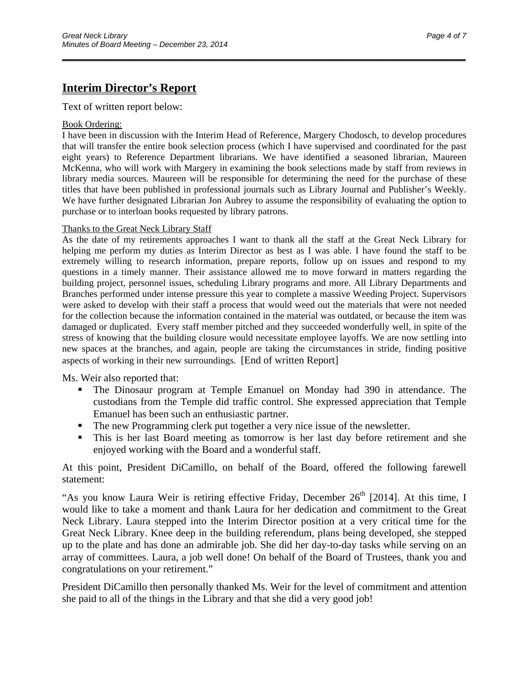### **Interim Director's Report**

Text of written report below:

#### Book Ordering:

I have been in discussion with the Interim Head of Reference, Margery Chodosch, to develop procedures that will transfer the entire book selection process (which I have supervised and coordinated for the past eight years) to Reference Department librarians. We have identified a seasoned librarian, Maureen McKenna, who will work with Margery in examining the book selections made by staff from reviews in library media sources. Maureen will be responsible for determining the need for the purchase of these titles that have been published in professional journals such as Library Journal and Publisher's Weekly. We have further designated Librarian Jon Aubrey to assume the responsibility of evaluating the option to purchase or to interloan books requested by library patrons.

\_\_\_\_\_\_\_\_\_\_\_\_\_\_\_\_\_\_\_\_\_\_\_\_\_\_\_\_\_\_\_\_\_\_\_\_\_\_\_\_\_\_\_\_\_\_\_\_\_\_\_\_\_\_\_\_\_\_\_\_\_\_\_\_\_\_\_\_\_\_

#### Thanks to the Great Neck Library Staff

As the date of my retirements approaches I want to thank all the staff at the Great Neck Library for helping me perform my duties as Interim Director as best as I was able. I have found the staff to be extremely willing to research information, prepare reports, follow up on issues and respond to my questions in a timely manner. Their assistance allowed me to move forward in matters regarding the building project, personnel issues, scheduling Library programs and more. All Library Departments and Branches performed under intense pressure this year to complete a massive Weeding Project. Supervisors were asked to develop with their staff a process that would weed out the materials that were not needed for the collection because the information contained in the material was outdated, or because the item was damaged or duplicated. Every staff member pitched and they succeeded wonderfully well, in spite of the stress of knowing that the building closure would necessitate employee layoffs. We are now settling into new spaces at the branches, and again, people are taking the circumstances in stride, finding positive aspects of working in their new surroundings. [End of written Report]

Ms. Weir also reported that:

- The Dinosaur program at Temple Emanuel on Monday had 390 in attendance. The custodians from the Temple did traffic control. She expressed appreciation that Temple Emanuel has been such an enthusiastic partner.
- The new Programming clerk put together a very nice issue of the newsletter.
- This is her last Board meeting as tomorrow is her last day before retirement and she enjoyed working with the Board and a wonderful staff.

At this point, President DiCamillo, on behalf of the Board, offered the following farewell statement:

"As you know Laura Weir is retiring effective Friday, December 26<sup>th</sup> [2014]. At this time, I would like to take a moment and thank Laura for her dedication and commitment to the Great Neck Library. Laura stepped into the Interim Director position at a very critical time for the Great Neck Library. Knee deep in the building referendum, plans being developed, she stepped up to the plate and has done an admirable job. She did her day-to-day tasks while serving on an array of committees. Laura, a job well done! On behalf of the Board of Trustees, thank you and congratulations on your retirement."

President DiCamillo then personally thanked Ms. Weir for the level of commitment and attention she paid to all of the things in the Library and that she did a very good job!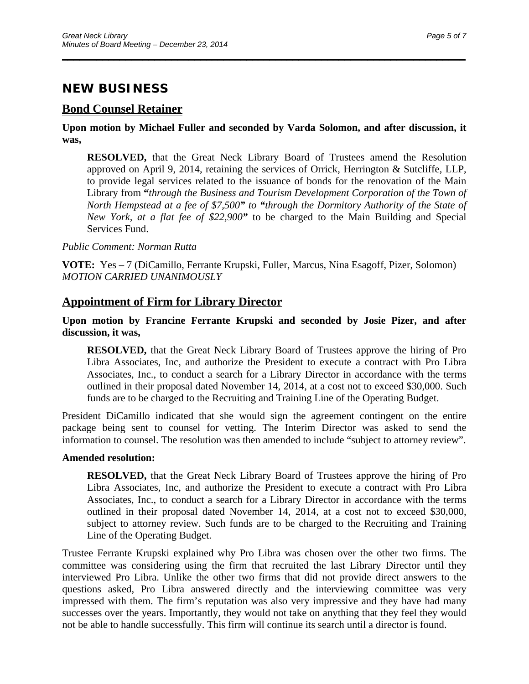# **NEW BUSINESS**

### **Bond Counsel Retainer**

**Upon motion by Michael Fuller and seconded by Varda Solomon, and after discussion, it was,** 

\_\_\_\_\_\_\_\_\_\_\_\_\_\_\_\_\_\_\_\_\_\_\_\_\_\_\_\_\_\_\_\_\_\_\_\_\_\_\_\_\_\_\_\_\_\_\_\_\_\_\_\_\_\_\_\_\_\_\_\_\_\_\_\_\_\_\_\_\_\_

**RESOLVED,** that the Great Neck Library Board of Trustees amend the Resolution approved on April 9, 2014, retaining the services of Orrick, Herrington & Sutcliffe, LLP, to provide legal services related to the issuance of bonds for the renovation of the Main Library from **"***through the Business and Tourism Development Corporation of the Town of North Hempstead at a fee of \$7,500" to "through the Dormitory Authority of the State of New York, at a flat fee of \$22,900"* to be charged to the Main Building and Special Services Fund.

*Public Comment: Norman Rutta* 

**VOTE:** Yes – 7 (DiCamillo, Ferrante Krupski, Fuller, Marcus, Nina Esagoff, Pizer, Solomon) *MOTION CARRIED UNANIMOUSLY* 

#### **Appointment of Firm for Library Director**

#### **Upon motion by Francine Ferrante Krupski and seconded by Josie Pizer, and after discussion, it was,**

**RESOLVED,** that the Great Neck Library Board of Trustees approve the hiring of Pro Libra Associates, Inc, and authorize the President to execute a contract with Pro Libra Associates, Inc., to conduct a search for a Library Director in accordance with the terms outlined in their proposal dated November 14, 2014, at a cost not to exceed \$30,000. Such funds are to be charged to the Recruiting and Training Line of the Operating Budget.

President DiCamillo indicated that she would sign the agreement contingent on the entire package being sent to counsel for vetting. The Interim Director was asked to send the information to counsel. The resolution was then amended to include "subject to attorney review".

#### **Amended resolution:**

**RESOLVED,** that the Great Neck Library Board of Trustees approve the hiring of Pro Libra Associates, Inc, and authorize the President to execute a contract with Pro Libra Associates, Inc., to conduct a search for a Library Director in accordance with the terms outlined in their proposal dated November 14, 2014, at a cost not to exceed \$30,000, subject to attorney review. Such funds are to be charged to the Recruiting and Training Line of the Operating Budget.

Trustee Ferrante Krupski explained why Pro Libra was chosen over the other two firms. The committee was considering using the firm that recruited the last Library Director until they interviewed Pro Libra. Unlike the other two firms that did not provide direct answers to the questions asked, Pro Libra answered directly and the interviewing committee was very impressed with them. The firm's reputation was also very impressive and they have had many successes over the years. Importantly, they would not take on anything that they feel they would not be able to handle successfully. This firm will continue its search until a director is found.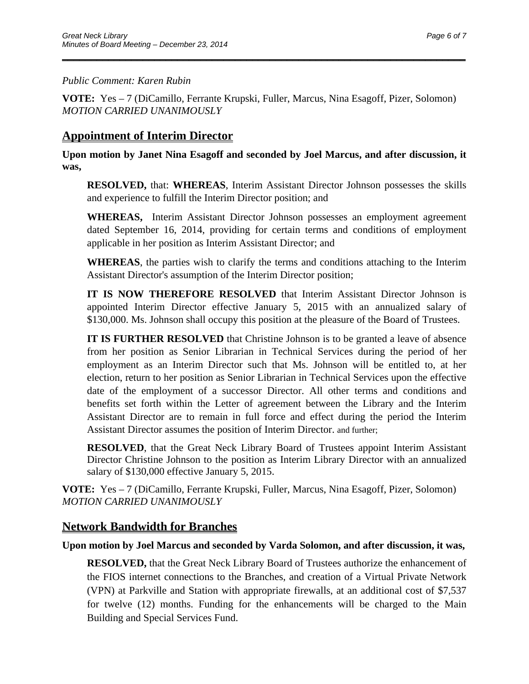#### *Public Comment: Karen Rubin*

**VOTE:** Yes – 7 (DiCamillo, Ferrante Krupski, Fuller, Marcus, Nina Esagoff, Pizer, Solomon) *MOTION CARRIED UNANIMOUSLY* 

\_\_\_\_\_\_\_\_\_\_\_\_\_\_\_\_\_\_\_\_\_\_\_\_\_\_\_\_\_\_\_\_\_\_\_\_\_\_\_\_\_\_\_\_\_\_\_\_\_\_\_\_\_\_\_\_\_\_\_\_\_\_\_\_\_\_\_\_\_\_

### **Appointment of Interim Director**

**Upon motion by Janet Nina Esagoff and seconded by Joel Marcus, and after discussion, it was,** 

**RESOLVED,** that: **WHEREAS**, Interim Assistant Director Johnson possesses the skills and experience to fulfill the Interim Director position; and

**WHEREAS,** Interim Assistant Director Johnson possesses an employment agreement dated September 16, 2014, providing for certain terms and conditions of employment applicable in her position as Interim Assistant Director; and

**WHEREAS**, the parties wish to clarify the terms and conditions attaching to the Interim Assistant Director's assumption of the Interim Director position;

**IT IS NOW THEREFORE RESOLVED** that Interim Assistant Director Johnson is appointed Interim Director effective January 5, 2015 with an annualized salary of \$130,000. Ms. Johnson shall occupy this position at the pleasure of the Board of Trustees.

**IT IS FURTHER RESOLVED** that Christine Johnson is to be granted a leave of absence from her position as Senior Librarian in Technical Services during the period of her employment as an Interim Director such that Ms. Johnson will be entitled to, at her election, return to her position as Senior Librarian in Technical Services upon the effective date of the employment of a successor Director. All other terms and conditions and benefits set forth within the Letter of agreement between the Library and the Interim Assistant Director are to remain in full force and effect during the period the Interim Assistant Director assumes the position of Interim Director. and further;

**RESOLVED**, that the Great Neck Library Board of Trustees appoint Interim Assistant Director Christine Johnson to the position as Interim Library Director with an annualized salary of \$130,000 effective January 5, 2015.

**VOTE:** Yes – 7 (DiCamillo, Ferrante Krupski, Fuller, Marcus, Nina Esagoff, Pizer, Solomon) *MOTION CARRIED UNANIMOUSLY* 

### **Network Bandwidth for Branches**

#### **Upon motion by Joel Marcus and seconded by Varda Solomon, and after discussion, it was,**

**RESOLVED,** that the Great Neck Library Board of Trustees authorize the enhancement of the FIOS internet connections to the Branches, and creation of a Virtual Private Network (VPN) at Parkville and Station with appropriate firewalls, at an additional cost of \$7,537 for twelve (12) months. Funding for the enhancements will be charged to the Main Building and Special Services Fund.